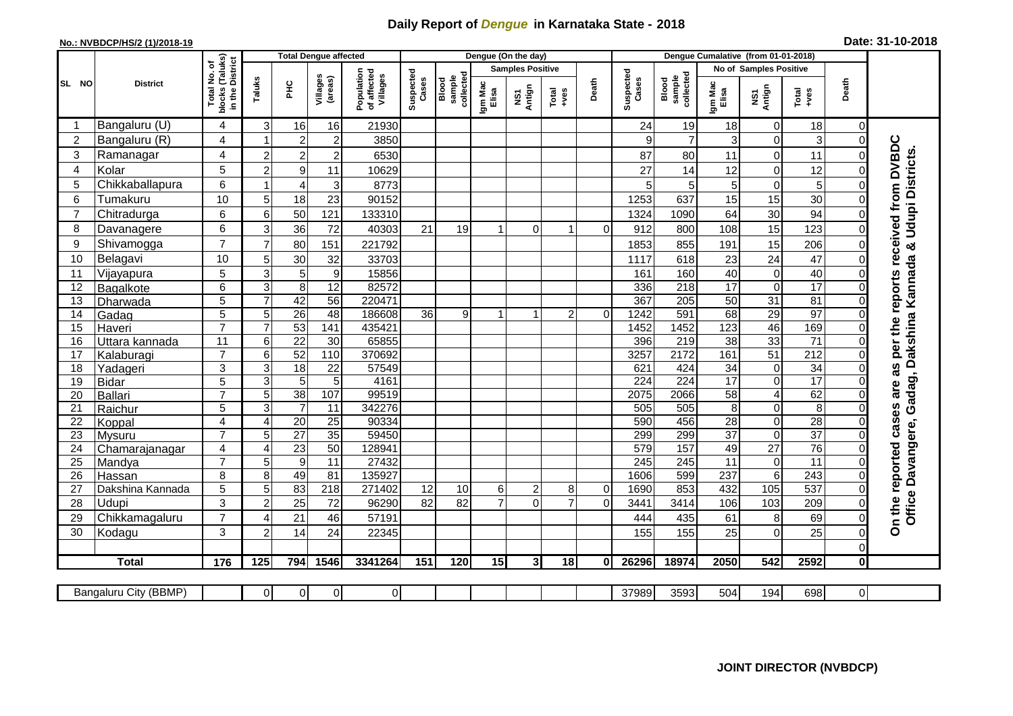## **Daily Report of** *Dengue* **in Karnataka State - 2018**

## **No.: NVBDCP/HS/2 (1)/2018-19**

| Date: 31-10-2018 |  |  |  |  |
|------------------|--|--|--|--|
|------------------|--|--|--|--|

|                 |                       |                                                    | <b>Total Dengue affected</b> |                 |                     |                                       | Dengue (On the day) |                              |                  |                         |                |             |                    | Dengue Cumalative (from 01-01-2018) |                  |                        |                 |                         |                                                                        |
|-----------------|-----------------------|----------------------------------------------------|------------------------------|-----------------|---------------------|---------------------------------------|---------------------|------------------------------|------------------|-------------------------|----------------|-------------|--------------------|-------------------------------------|------------------|------------------------|-----------------|-------------------------|------------------------------------------------------------------------|
|                 |                       |                                                    |                              |                 |                     |                                       |                     |                              |                  | <b>Samples Positive</b> |                |             |                    |                                     |                  | No of Samples Positive |                 |                         |                                                                        |
| SL NO           | <b>District</b>       | blocks (Taluks)<br>in the District<br>Total No. of | Taluks                       | 오<br>도          | Villages<br>(areas) | Population<br>of affected<br>Villages | Suspected<br>Cases  | collected<br>sample<br>Blood | Igm Mac<br>Elisa | NS1<br>Antign           | Total<br>+ves  | Death       | Suspected<br>Cases | Blood<br>sample<br>collected        | Igm Mac<br>Elisa | NS1<br>Antign          | Total<br>+ves   | Death                   |                                                                        |
|                 | Bangaluru (U)         | 4                                                  | 3                            | 16              | 16                  | 21930                                 |                     |                              |                  |                         |                |             | 24                 | 19                                  | 18               | $\Omega$               | 18              | 0                       |                                                                        |
| 2               | Bangaluru (R)         | 4                                                  | 1                            | $\overline{2}$  | $\overline{c}$      | 3850                                  |                     |                              |                  |                         |                |             | 9                  | $\overline{7}$                      | 3 <sup>1</sup>   | $\Omega$               | $\mathbf{3}$    | $\mathbf 0$             |                                                                        |
| 3               | Ramanagar             | 4                                                  | $\overline{2}$               | $\overline{2}$  | $\overline{2}$      | 6530                                  |                     |                              |                  |                         |                |             | 87                 | 80                                  | 11               | $\Omega$               | 11              | 0                       | DVBDC                                                                  |
| $\overline{4}$  | Kolar                 | 5                                                  | $\overline{2}$               | 9               | 11                  | 10629                                 |                     |                              |                  |                         |                |             | 27                 | 14                                  | 12               | $\Omega$               | 12              | $\Omega$                |                                                                        |
| 5               | Chikkaballapura       | 6                                                  |                              | 4               | 3                   | 8773                                  |                     |                              |                  |                         |                |             | 5                  | 5                                   | 5                | $\Omega$               | 5               | $\Omega$                |                                                                        |
| 6               | Tumakuru              | 10                                                 | 5                            | 18              | 23                  | 90152                                 |                     |                              |                  |                         |                |             | 1253               | 637                                 | 15               | 15                     | 30              | 0                       |                                                                        |
| $\overline{7}$  | Chitradurga           | 6                                                  | 6                            | 50              | 121                 | 133310                                |                     |                              |                  |                         |                |             | 1324               | 1090                                | 64               | 30                     | 94              | $\Omega$                |                                                                        |
| 8               | Davanagere            | 6                                                  | 3                            | 36              | 72                  | 40303                                 | 21                  | 19                           | 1                | 0                       | 1              | $\Omega$    | 912                | 800                                 | 108              | 15                     | 123             | $\Omega$                |                                                                        |
| 9               | Shivamogga            | $\overline{7}$                                     |                              | 80              | 151                 | 221792                                |                     |                              |                  |                         |                |             | 1853               | 855                                 | 191              | 15                     | 206             | 0                       |                                                                        |
| 10              | Belagavi              | 10                                                 | 5                            | 30              | 32                  | 33703                                 |                     |                              |                  |                         |                |             | 1117               | 618                                 | 23               | 24                     | 47              | 0                       | received from                                                          |
| 11              | Vijayapura            | 5                                                  | 3                            | 5               | $\boldsymbol{9}$    | 15856                                 |                     |                              |                  |                         |                |             | 161                | 160                                 | 40               | $\Omega$               | 40              | $\Omega$                |                                                                        |
| 12              | Bagalkote             | 6                                                  | 3                            | 8               | 12                  | 82572                                 |                     |                              |                  |                         |                |             | 336                | $\overline{218}$                    | 17               | $\Omega$               | 17              | 0                       | per the reports                                                        |
| $\overline{13}$ | Dharwada              | $\overline{5}$                                     | $\overline{7}$               | 42              | 56                  | 220471                                |                     |                              |                  |                         |                |             | 367                | 205                                 | $\overline{50}$  | $\overline{31}$        | 81              | $\Omega$                |                                                                        |
| 14              | Gadag                 | $\overline{5}$                                     | 5                            | $\overline{26}$ | $\overline{48}$     | 186608                                | $\overline{36}$     | 9                            | 1                | 1                       | $\overline{c}$ | $\Omega$    | 1242               | 591                                 | 68               | $\overline{29}$        | 97              | $\Omega$                |                                                                        |
| 15              | Haveri                | $\overline{7}$                                     |                              | 53              | 141                 | 435421                                |                     |                              |                  |                         |                |             | 1452               | 1452                                | 123              | 46                     | 169             | $\Omega$                |                                                                        |
| 16              | Uttara kannada        | $\overline{11}$                                    | 6                            | $\overline{22}$ | 30                  | 65855                                 |                     |                              |                  |                         |                |             | 396                | $\overline{219}$                    | $\overline{38}$  | $\overline{33}$        | $\overline{71}$ | $\Omega$                |                                                                        |
| 17              | Kalaburagi            | $\overline{7}$                                     | 6                            | 52              | 110                 | 370692                                |                     |                              |                  |                         |                |             | 3257               | 2172                                | 161              | 51                     | 212             | $\overline{0}$          |                                                                        |
| 18              | Yadageri              | 3                                                  | 3                            | $\overline{18}$ | $\overline{22}$     | 57549                                 |                     |                              |                  |                         |                |             | 621                | 424                                 | $\overline{34}$  | $\Omega$               | 34              | $\Omega$                | U)<br>Ñ,                                                               |
| 19              | <b>Bidar</b>          | $\overline{5}$                                     | 3                            | 5               | 5                   | 4161                                  |                     |                              |                  |                         |                |             | $\overline{224}$   | 224                                 | 17               | $\Omega$               | $\overline{17}$ | $\overline{0}$          |                                                                        |
| 20              | Ballari               | $\overline{7}$                                     | 5                            | 38              | 107                 | 99519                                 |                     |                              |                  |                         |                |             | 2075               | 2066                                | $\overline{58}$  | 4                      | 62              | $\overline{0}$          | are                                                                    |
| 21              | Raichur               | 5                                                  | 3                            | $\overline{7}$  | $\overline{11}$     | 342276                                |                     |                              |                  |                         |                |             | 505                | 505                                 | 8 <sup>1</sup>   | $\Omega$               | 8               | $\Omega$                |                                                                        |
| $\overline{22}$ | Koppal                | 4                                                  | 4                            | 20              | $\overline{25}$     | 90334                                 |                     |                              |                  |                         |                |             | 590                | 456                                 | 28               | $\Omega$               | 28              | $\Omega$                | cases                                                                  |
| $\overline{23}$ | <b>Mysuru</b>         | $\overline{7}$                                     | 5                            | $\overline{27}$ | 35                  | 59450                                 |                     |                              |                  |                         |                |             | 299                | 299                                 | $\overline{37}$  | $\Omega$               | 37              | 0                       |                                                                        |
| 24              | Chamarajanagar        | 4                                                  | Δ                            | $\overline{23}$ | 50                  | 128941                                |                     |                              |                  |                         |                |             | 579                | 157                                 | 49               | 27                     | 76              | $\Omega$                |                                                                        |
| 25              | Mandya                | $\overline{7}$                                     | 5                            | $\overline{9}$  | $\overline{11}$     | 27432                                 |                     |                              |                  |                         |                |             | $\overline{245}$   | $\overline{245}$                    | $\overline{11}$  | $\Omega$               | $\overline{11}$ | $\Omega$                |                                                                        |
| 26              | Hassan                | 8                                                  | 8                            | 49              | 81                  | 135927                                |                     |                              |                  |                         |                |             | 1606               | 599                                 | 237              | 6                      | 243             | $\Omega$                | reported                                                               |
| 27              | Dakshina Kannada      | $\overline{5}$                                     | 5                            | 83              | $\overline{218}$    | 271402                                | 12                  | 10                           | 6                | 2                       | 8              | 0           | 1690               | 853                                 | 432              | 105                    | 537             | 0                       |                                                                        |
| 28              | Udupi                 | 3                                                  | $\overline{2}$               | 25              | 72                  | 96290                                 | 82                  | 82                           | $\overline{7}$   | 0                       | $\overline{7}$ | $\mathbf 0$ | 3441               | 3414                                | 106              | 103                    | 209             | $\Omega$                |                                                                        |
| 29              | Chikkamagaluru        | $\overline{7}$                                     | Δ                            | 21              | 46                  | 57191                                 |                     |                              |                  |                         |                |             | 444                | 435                                 | 61               | $\bf 8$                | 69              | 0                       | Office Davangere, Gadag, Dakshina Kannada & Udupi Districts.<br>On the |
| 30              | Kodagu                | 3                                                  | 2                            | 14              | 24                  | 22345                                 |                     |                              |                  |                         |                |             | 155                | 155                                 | 25               | $\Omega$               | 25              | $\mathbf 0$             |                                                                        |
|                 |                       |                                                    |                              |                 |                     |                                       |                     |                              |                  |                         |                |             |                    |                                     |                  |                        |                 | $\mathsf 0$             |                                                                        |
|                 | <b>Total</b>          | 176                                                | 125                          | 794             | 1546                | 3341264                               | 151                 | 120                          | 15               | $\mathbf{3}$            | 18             | $\mathbf 0$ | 26296              | 18974                               | 2050             | 542                    | 2592            | $\overline{\mathbf{0}}$ |                                                                        |
|                 |                       |                                                    |                              |                 |                     |                                       |                     |                              |                  |                         |                |             |                    |                                     |                  |                        |                 |                         |                                                                        |
|                 | Bangaluru City (BBMP) |                                                    | $\Omega$                     | 01              | $\overline{0}$      | $\overline{0}$                        |                     |                              |                  |                         |                |             | 37989              | 3593                                | 504              | 194                    | 698             | $\pmb{0}$               |                                                                        |